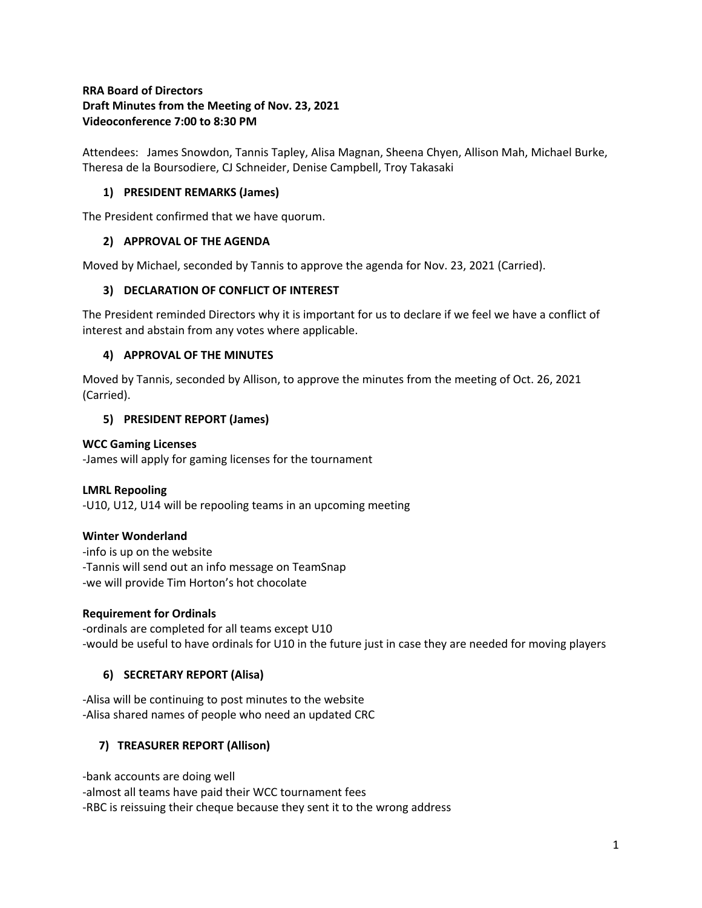# **RRA Board of Directors Draft Minutes from the Meeting of Nov. 23, 2021 Videoconference 7:00 to 8:30 PM**

Attendees: James Snowdon, Tannis Tapley, Alisa Magnan, Sheena Chyen, Allison Mah, Michael Burke, Theresa de la Boursodiere, CJ Schneider, Denise Campbell, Troy Takasaki

## **1) PRESIDENT REMARKS (James)**

The President confirmed that we have quorum.

### **2) APPROVAL OF THE AGENDA**

Moved by Michael, seconded by Tannis to approve the agenda for Nov. 23, 2021 (Carried).

### **3) DECLARATION OF CONFLICT OF INTEREST**

The President reminded Directors why it is important for us to declare if we feel we have a conflict of interest and abstain from any votes where applicable.

### **4) APPROVAL OF THE MINUTES**

Moved by Tannis, seconded by Allison, to approve the minutes from the meeting of Oct. 26, 2021 (Carried).

### **5) PRESIDENT REPORT (James)**

### **WCC Gaming Licenses**

-James will apply for gaming licenses for the tournament

# **LMRL Repooling**

-U10, U12, U14 will be repooling teams in an upcoming meeting

### **Winter Wonderland**

-info is up on the website -Tannis will send out an info message on TeamSnap -we will provide Tim Horton's hot chocolate

### **Requirement for Ordinals**

-ordinals are completed for all teams except U10 -would be useful to have ordinals for U10 in the future just in case they are needed for moving players

# **6) SECRETARY REPORT (Alisa)**

-Alisa will be continuing to post minutes to the website -Alisa shared names of people who need an updated CRC

# **7) TREASURER REPORT (Allison)**

-bank accounts are doing well -almost all teams have paid their WCC tournament fees -RBC is reissuing their cheque because they sent it to the wrong address